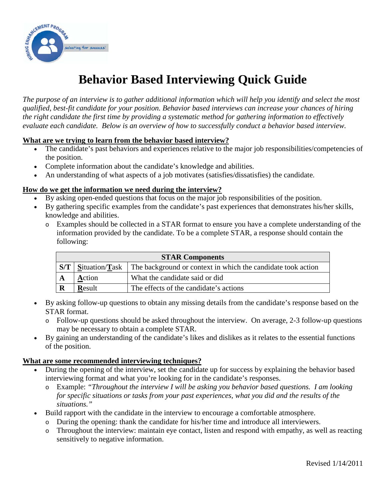

# **Behavior Based Interviewing Quick Guide**

*The purpose of an interview is to gather additional information which will help you identify and select the most qualified, best-fit candidate for your position. Behavior based interviews can increase your chances of hiring the right candidate the first time by providing a systematic method for gathering information to effectively evaluate each candidate. Below is an overview of how to successfully conduct a behavior based interview.* 

### **What are we trying to learn from the behavior based interview?**

- The candidate's past behaviors and experiences relative to the major job responsibilities/competencies of the position.
- Complete information about the candidate's knowledge and abilities.
- An understanding of what aspects of a job motivates (satisfies/dissatisfies) the candidate.

#### **How do we get the information we need during the interview?**

- By asking open-ended questions that focus on the major job responsibilities of the position.
- By gathering specific examples from the candidate's past experiences that demonstrates his/her skills, knowledge and abilities.
	- o Examples should be collected in a STAR format to ensure you have a complete understanding of the information provided by the candidate. To be a complete STAR, a response should contain the following:

| <b>STAR Components</b> |        |                                                                               |
|------------------------|--------|-------------------------------------------------------------------------------|
| S/T                    |        | Situation/Task   The background or context in which the candidate took action |
|                        | Action | What the candidate said or did                                                |
| $\mathbf R$            | Result | The effects of the candidate's actions                                        |

- By asking follow-up questions to obtain any missing details from the candidate's response based on the STAR format.
	- o Follow-up questions should be asked throughout the interview. On average, 2-3 follow-up questions may be necessary to obtain a complete STAR.
- By gaining an understanding of the candidate's likes and dislikes as it relates to the essential functions of the position.

#### **What are some recommended interviewing techniques?**

- During the opening of the interview, set the candidate up for success by explaining the behavior based interviewing format and what you're looking for in the candidate's responses.
	- o Example: *"Throughout the interview I will be asking you behavior based questions. I am looking for specific situations or tasks from your past experiences, what you did and the results of the situations."*
- Build rapport with the candidate in the interview to encourage a comfortable atmosphere.
	- o During the opening: thank the candidate for his/her time and introduce all interviewers.
	- o Throughout the interview: maintain eye contact, listen and respond with empathy, as well as reacting sensitively to negative information.